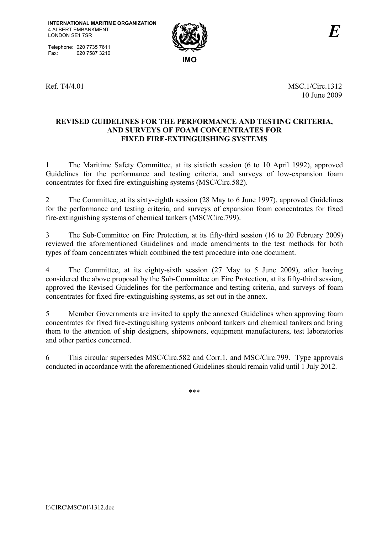Telephone: 020 7735 7611<br>Fax: 020 7587 3210 020 7587 3210



Ref. T4/4.01 MSC.1/Circ.1312 10 June 2009

#### **REVISED GUIDELINES FOR THE PERFORMANCE AND TESTING CRITERIA, AND SURVEYS OF FOAM CONCENTRATES FOR FIXED FIRE-EXTINGUISHING SYSTEMS**

1 The Maritime Safety Committee, at its sixtieth session (6 to 10 April 1992), approved Guidelines for the performance and testing criteria, and surveys of low-expansion foam concentrates for fixed fire-extinguishing systems (MSC/Circ.582).

2 The Committee, at its sixty-eighth session (28 May to 6 June 1997), approved Guidelines for the performance and testing criteria, and surveys of expansion foam concentrates for fixed fire-extinguishing systems of chemical tankers (MSC/Circ.799).

3 The Sub-Committee on Fire Protection, at its fifty-third session (16 to 20 February 2009) reviewed the aforementioned Guidelines and made amendments to the test methods for both types of foam concentrates which combined the test procedure into one document.

4 The Committee, at its eighty-sixth session (27 May to 5 June 2009), after having considered the above proposal by the Sub-Committee on Fire Protection, at its fifty-third session, approved the Revised Guidelines for the performance and testing criteria, and surveys of foam concentrates for fixed fire-extinguishing systems, as set out in the annex.

5 Member Governments are invited to apply the annexed Guidelines when approving foam concentrates for fixed fire-extinguishing systems onboard tankers and chemical tankers and bring them to the attention of ship designers, shipowners, equipment manufacturers, test laboratories and other parties concerned.

6 This circular supersedes MSC/Circ.582 and Corr.1, and MSC/Circ.799. Type approvals conducted in accordance with the aforementioned Guidelines should remain valid until 1 July 2012.

\*\*\*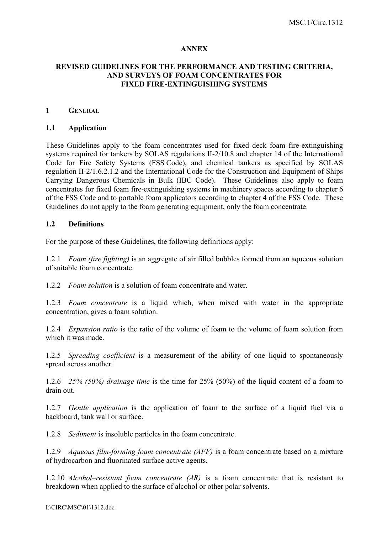#### **ANNEX**

### **REVISED GUIDELINES FOR THE PERFORMANCE AND TESTING CRITERIA, AND SURVEYS OF FOAM CONCENTRATES FOR FIXED FIRE-EXTINGUISHING SYSTEMS**

#### **1 GENERAL**

#### **1.1 Application**

These Guidelines apply to the foam concentrates used for fixed deck foam fire-extinguishing systems required for tankers by SOLAS regulations II-2/10.8 and chapter 14 of the International Code for Fire Safety Systems (FSS Code), and chemical tankers as specified by SOLAS regulation II-2/1.6.2.1.2 and the International Code for the Construction and Equipment of Ships Carrying Dangerous Chemicals in Bulk (IBC Code). These Guidelines also apply to foam concentrates for fixed foam fire-extinguishing systems in machinery spaces according to chapter 6 of the FSS Code and to portable foam applicators according to chapter 4 of the FSS Code. These Guidelines do not apply to the foam generating equipment, only the foam concentrate.

#### **1.2 Definitions**

For the purpose of these Guidelines, the following definitions apply:

1.2.1 *Foam (fire fighting)* is an aggregate of air filled bubbles formed from an aqueous solution of suitable foam concentrate.

1.2.2 *Foam solution* is a solution of foam concentrate and water.

1.2.3 *Foam concentrate* is a liquid which, when mixed with water in the appropriate concentration, gives a foam solution.

1.2.4 *Expansion ratio* is the ratio of the volume of foam to the volume of foam solution from which it was made.

1.2.5 *Spreading coefficient* is a measurement of the ability of one liquid to spontaneously spread across another.

1.2.6 *25% (50%) drainage time* is the time for 25% (50%) of the liquid content of a foam to drain out.

1.2.7 *Gentle application* is the application of foam to the surface of a liquid fuel via a backboard, tank wall or surface.

1.2.8 *Sediment* is insoluble particles in the foam concentrate.

1.2.9 *Aqueous film-forming foam concentrate (AFF)* is a foam concentrate based on a mixture of hydrocarbon and fluorinated surface active agents.

1.2.10 *Alcohol–resistant foam concentrate (AR)* is a foam concentrate that is resistant to breakdown when applied to the surface of alcohol or other polar solvents.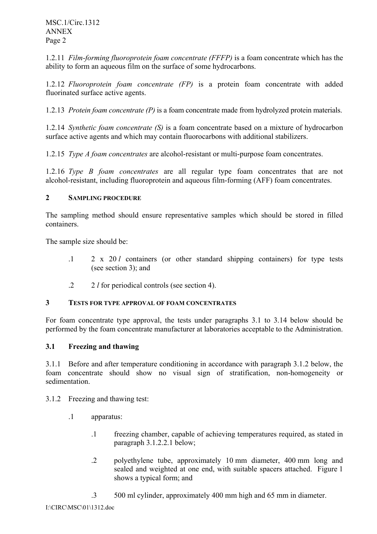1.2.11 *Film-forming fluoroprotein foam concentrate (FFFP)* is a foam concentrate which has the ability to form an aqueous film on the surface of some hydrocarbons.

1.2.12 *Fluoroprotein foam concentrate (FP)* is a protein foam concentrate with added fluorinated surface active agents.

1.2.13 *Protein foam concentrate (P)* is a foam concentrate made from hydrolyzed protein materials.

1.2.14 *Synthetic foam concentrate (S)* is a foam concentrate based on a mixture of hydrocarbon surface active agents and which may contain fluorocarbons with additional stabilizers.

1.2.15 *Type A foam concentrates* are alcohol-resistant or multi-purpose foam concentrates.

1.2.16 *Type B foam concentrates* are all regular type foam concentrates that are not alcohol-resistant, including fluoroprotein and aqueous film-forming (AFF) foam concentrates.

### **2 SAMPLING PROCEDURE**

The sampling method should ensure representative samples which should be stored in filled containers.

The sample size should be:

- .1 2 x 20 *l* containers (or other standard shipping containers) for type tests (see section 3); and
- .2 2 *l* for periodical controls (see section 4).

#### **3 TESTS FOR TYPE APPROVAL OF FOAM CONCENTRATES**

For foam concentrate type approval, the tests under paragraphs 3.1 to 3.14 below should be performed by the foam concentrate manufacturer at laboratories acceptable to the Administration.

## **3.1 Freezing and thawing**

3.1.1 Before and after temperature conditioning in accordance with paragraph 3.1.2 below, the foam concentrate should show no visual sign of stratification, non-homogeneity or sedimentation.

3.1.2 Freezing and thawing test:

- .1 apparatus:
	- .1 freezing chamber, capable of achieving temperatures required, as stated in paragraph 3.1.2.2.1 below;
	- .2 polyethylene tube, approximately 10 mm diameter, 400 mm long and sealed and weighted at one end, with suitable spacers attached. Figure 1 shows a typical form; and
	- .3 500 ml cylinder, approximately 400 mm high and 65 mm in diameter.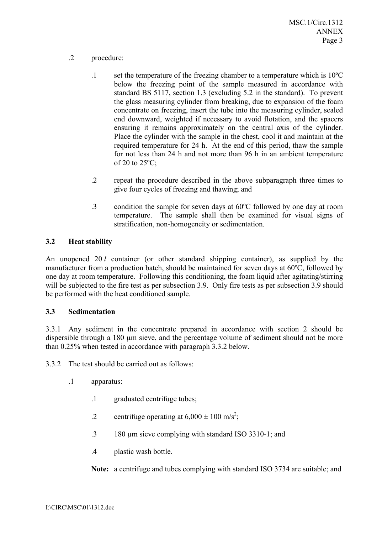- .2 procedure:
	- .1 set the temperature of the freezing chamber to a temperature which is 10ºC below the freezing point of the sample measured in accordance with standard BS 5117, section 1.3 (excluding 5.2 in the standard). To prevent the glass measuring cylinder from breaking, due to expansion of the foam concentrate on freezing, insert the tube into the measuring cylinder, sealed end downward, weighted if necessary to avoid flotation, and the spacers ensuring it remains approximately on the central axis of the cylinder. Place the cylinder with the sample in the chest, cool it and maintain at the required temperature for 24 h. At the end of this period, thaw the sample for not less than 24 h and not more than 96 h in an ambient temperature of 20 to  $25^{\circ}$ C;
	- .2 repeat the procedure described in the above subparagraph three times to give four cycles of freezing and thawing; and
	- .3 condition the sample for seven days at 60ºC followed by one day at room temperature. The sample shall then be examined for visual signs of stratification, non-homogeneity or sedimentation.

## **3.2 Heat stability**

An unopened 20 *l* container (or other standard shipping container), as supplied by the manufacturer from a production batch, should be maintained for seven days at 60ºC, followed by one day at room temperature. Following this conditioning, the foam liquid after agitating/stirring will be subjected to the fire test as per subsection 3.9. Only fire tests as per subsection 3.9 should be performed with the heat conditioned sample.

## **3.3 Sedimentation**

3.3.1 Any sediment in the concentrate prepared in accordance with section 2 should be dispersible through a 180 µm sieve, and the percentage volume of sediment should not be more than 0.25% when tested in accordance with paragraph 3.3.2 below.

3.3.2 The test should be carried out as follows:

- .1 apparatus:
	- .1 graduated centrifuge tubes;
	- .2 centrifuge operating at  $6,000 \pm 100 \text{ m/s}^2$ ;
	- .3 180 µm sieve complying with standard ISO 3310-1; and
	- .4 plastic wash bottle.

**Note:** a centrifuge and tubes complying with standard ISO 3734 are suitable; and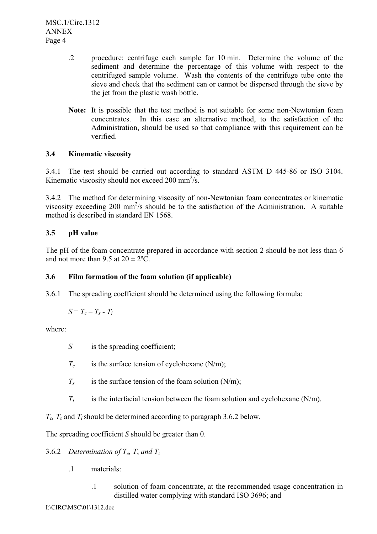- .2 procedure: centrifuge each sample for 10 min. Determine the volume of the sediment and determine the percentage of this volume with respect to the centrifuged sample volume. Wash the contents of the centrifuge tube onto the sieve and check that the sediment can or cannot be dispersed through the sieve by the jet from the plastic wash bottle.
- **Note:** It is possible that the test method is not suitable for some non-Newtonian foam concentrates. In this case an alternative method, to the satisfaction of the Administration, should be used so that compliance with this requirement can be verified.

# **3.4 Kinematic viscosity**

3.4.1 The test should be carried out according to standard ASTM D 445-86 or ISO 3104. Kinematic viscosity should not exceed 200 mm<sup>2</sup>/s.

3.4.2 The method for determining viscosity of non-Newtonian foam concentrates or kinematic viscosity exceeding 200 mm<sup>2</sup>/s should be to the satisfaction of the Administration. A suitable method is described in standard EN 1568.

# **3.5 pH value**

The pH of the foam concentrate prepared in accordance with section 2 should be not less than 6 and not more than  $9.5$  at  $20 \pm 2$ °C.

## **3.6 Film formation of the foam solution (if applicable)**

3.6.1 The spreading coefficient should be determined using the following formula:

$$
S = T_c - T_s - T_i
$$

where:

- *S* is the spreading coefficient;
- $T_c$  is the surface tension of cyclohexane (N/m);
- $T_s$  is the surface tension of the foam solution (N/m);
- $T_i$  is the interfacial tension between the foam solution and cyclohexane  $(N/m)$ .

*Tc, Ts* and *Ti*should be determined according to paragraph 3.6.2 below.

The spreading coefficient *S* should be greater than 0.

# 3.6.2 *Determination of*  $T_c$ ,  $T_s$  and  $T_i$

- .1 materials:
	- .1 solution of foam concentrate, at the recommended usage concentration in distilled water complying with standard ISO 3696; and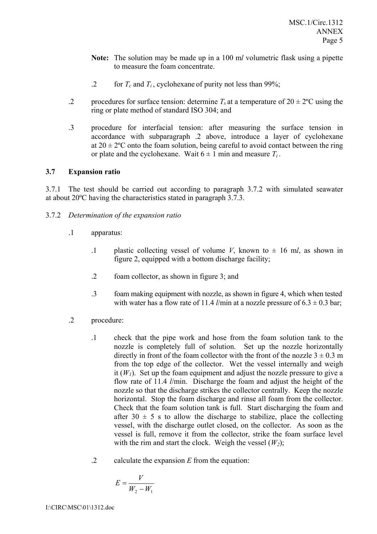- **Note:** The solution may be made up in a 100 m*l* volumetric flask using a pipette to measure the foam concentrate.
- .2 for  $T_c$  and  $T_i$ , cyclohexane of purity not less than 99%;
- .2 procedures for surface tension: determine  $T_s$  at a temperature of  $20 \pm 2^{\circ}$ C using the ring or plate method of standard ISO 304; and
- .3 procedure for interfacial tension: after measuring the surface tension in accordance with subparagraph .2 above, introduce a layer of cyclohexane at  $20 \pm 2^{\circ}$ C onto the foam solution, being careful to avoid contact between the ring or plate and the cyclohexane. Wait  $6 \pm 1$  min and measure  $T_i$ .

### **3.7 Expansion ratio**

3.7.1 The test should be carried out according to paragraph 3.7.2 with simulated seawater at about 20ºC having the characteristics stated in paragraph 3.7.3.

- 3.7.2 *Determination of the expansion ratio*
	- .1 apparatus:
		- .1 plastic collecting vessel of volume *V*, known to  $\pm$  16 m*l*, as shown in figure 2, equipped with a bottom discharge facility;
		- .2 foam collector, as shown in figure 3; and
		- .3 foam making equipment with nozzle, as shown in figure 4, which when tested with water has a flow rate of 11.4  $l$ /min at a nozzle pressure of  $6.3 \pm 0.3$  bar;
	- .2 procedure:
		- .1 check that the pipe work and hose from the foam solution tank to the nozzle is completely full of solution. Set up the nozzle horizontally directly in front of the foam collector with the front of the nozzle  $3 \pm 0.3$  m from the top edge of the collector. Wet the vessel internally and weigh it  $(W_1)$ . Set up the foam equipment and adjust the nozzle pressure to give a flow rate of 11.4 *l*/min. Discharge the foam and adjust the height of the nozzle so that the discharge strikes the collector centrally. Keep the nozzle horizontal. Stop the foam discharge and rinse all foam from the collector. Check that the foam solution tank is full. Start discharging the foam and after 30  $\pm$  5 s to allow the discharge to stabilize, place the collecting vessel, with the discharge outlet closed, on the collector. As soon as the vessel is full, remove it from the collector, strike the foam surface level with the rim and start the clock. Weigh the vessel  $(W_2)$ ;
		- .2 calculate the expansion *E* from the equation:

$$
E = \frac{V}{W_2 - W_1}
$$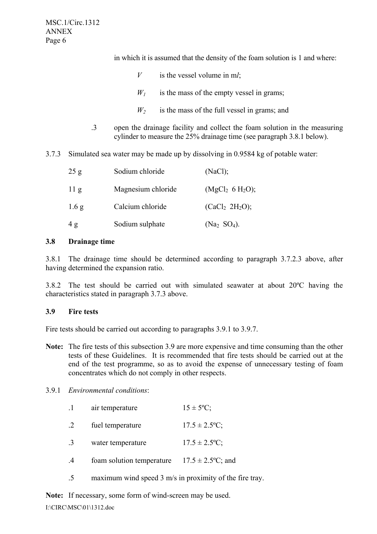in which it is assumed that the density of the foam solution is 1 and where:

- *V* is the vessel volume in m*l*;
- $W_1$  is the mass of the empty vessel in grams;
- $W_2$  is the mass of the full vessel in grams; and
- .3 open the drainage facility and collect the foam solution in the measuring cylinder to measure the 25% drainage time (see paragraph 3.8.1 below).
- 3.7.3 Simulated sea water may be made up by dissolving in 0.9584 kg of potable water:

| 25 g             | Sodium chloride    | (NaCl);                                 |
|------------------|--------------------|-----------------------------------------|
| 11 <sub>g</sub>  | Magnesium chloride | (MgCl <sub>2</sub> 6 H <sub>2</sub> O); |
| 1.6 <sub>g</sub> | Calcium chloride   | (CaCl <sub>2</sub> 2H <sub>2</sub> O);  |
| 4g               | Sodium sulphate    | $(Na_2 SO_4)$ .                         |

#### **3.8 Drainage time**

3.8.1 The drainage time should be determined according to paragraph 3.7.2.3 above, after having determined the expansion ratio.

3.8.2 The test should be carried out with simulated seawater at about 20ºC having the characteristics stated in paragraph 3.7.3 above.

#### **3.9 Fire tests**

Fire tests should be carried out according to paragraphs 3.9.1 to 3.9.7.

**Note:** The fire tests of this subsection 3.9 are more expensive and time consuming than the other tests of these Guidelines. It is recommended that fire tests should be carried out at the end of the test programme, so as to avoid the expense of unnecessary testing of foam concentrates which do not comply in other respects.

#### 3.9.1 *Environmental conditions*:

| . 1           | air temperature           | $15 \pm 5^{\circ}C$ ;  |
|---------------|---------------------------|------------------------|
| $\cdot$ 2     | fuel temperature          | $17.5 \pm 2.5$ °C;     |
| .3            | water temperature         | $17.5 \pm 2.5$ °C;     |
| $\mathcal{A}$ | foam solution temperature | $17.5 \pm 2.5$ °C; and |

.5 maximum wind speed 3 m/s in proximity of the fire tray.

**Note:** If necessary, some form of wind-screen may be used.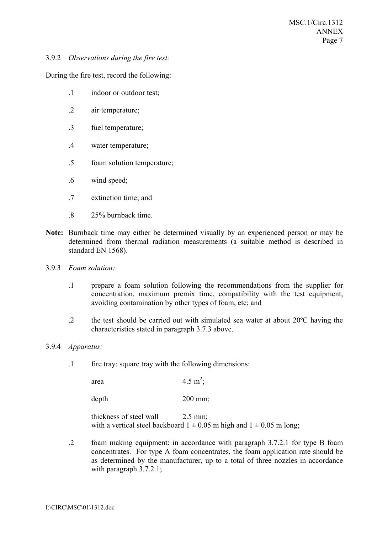### 3.9.2 *Observations during the fire test:*

During the fire test, record the following:

- .1 indoor or outdoor test;
- .2 air temperature;
- .3 fuel temperature;
- .4 water temperature;
- .5 foam solution temperature;
- .6 wind speed;
- .7 extinction time; and
- .8 25% burnback time.
- **Note:** Burnback time may either be determined visually by an experienced person or may be determined from thermal radiation measurements (a suitable method is described in standard EN 1568).
- 3.9.3 *Foam solution:*
	- .1 prepare a foam solution following the recommendations from the supplier for concentration, maximum premix time, compatibility with the test equipment, avoiding contamination by other types of foam, etc; and
	- .2 the test should be carried out with simulated sea water at about  $20^{\circ}$ C having the characteristics stated in paragraph 3.7.3 above.

#### 3.9.4 *Apparatus:*

.1 fire tray: square tray with the following dimensions:

area  $4.5 \text{ m}^2$ ;

depth 200 mm;

thickness of steel wall 2.5 mm; with a vertical steel backboard  $1 \pm 0.05$  m high and  $1 \pm 0.05$  m long;

.2 foam making equipment: in accordance with paragraph 3.7.2.1 for type B foam concentrates. For type A foam concentrates, the foam application rate should be as determined by the manufacturer, up to a total of three nozzles in accordance with paragraph  $3.7.2.1$ ;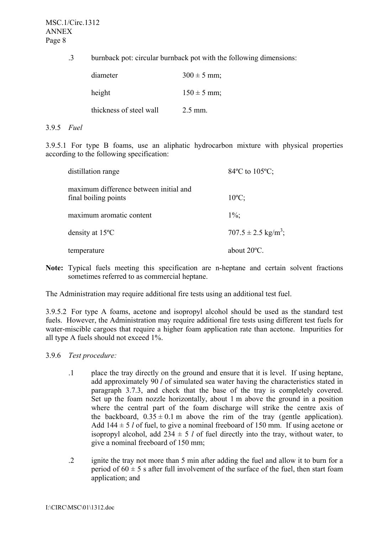.3 burnback pot: circular burnback pot with the following dimensions:

| diameter                | $300 \pm 5$ mm; |
|-------------------------|-----------------|
| height                  | $150 \pm 5$ mm; |
| thickness of steel wall | $2.5$ mm.       |

#### 3.9.5 *Fuel*

3.9.5.1 For type B foams, use an aliphatic hydrocarbon mixture with physical properties according to the following specification:

| distillation range                                             | $84^{\circ}$ C to $105^{\circ}$ C;  |
|----------------------------------------------------------------|-------------------------------------|
| maximum difference between initial and<br>final boiling points | $10^{\circ}$ C:                     |
| maximum aromatic content                                       | $1\%$ :                             |
| density at $15^{\circ}$ C                                      | $707.5 \pm 2.5$ kg/m <sup>3</sup> ; |
| temperature                                                    | about 20°C.                         |

**Note:** Typical fuels meeting this specification are n-heptane and certain solvent fractions sometimes referred to as commercial heptane.

The Administration may require additional fire tests using an additional test fuel.

3.9.5.2 For type A foams, acetone and isopropyl alcohol should be used as the standard test fuels. However, the Administration may require additional fire tests using different test fuels for water-miscible cargoes that require a higher foam application rate than acetone. Impurities for all type A fuels should not exceed 1%.

3.9.6 *Test procedure:*

- .1 place the tray directly on the ground and ensure that it is level. If using heptane, add approximately 90 *l* of simulated sea water having the characteristics stated in paragraph 3.7.3, and check that the base of the tray is completely covered. Set up the foam nozzle horizontally, about 1 m above the ground in a position where the central part of the foam discharge will strike the centre axis of the backboard,  $0.35 \pm 0.1$  m above the rim of the tray (gentle application). Add  $144 \pm 5$  *l* of fuel, to give a nominal freeboard of 150 mm. If using acetone or isopropyl alcohol, add  $234 \pm 5$  *l* of fuel directly into the tray, without water, to give a nominal freeboard of 150 mm;
- .2 ignite the tray not more than 5 min after adding the fuel and allow it to burn for a period of  $60 \pm 5$  s after full involvement of the surface of the fuel, then start foam application; and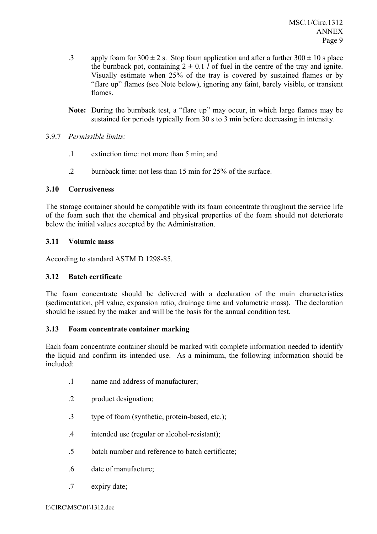- .3 apply foam for  $300 \pm 2$  s. Stop foam application and after a further  $300 \pm 10$  s place the burnback pot, containing  $2 \pm 0.1$  *l* of fuel in the centre of the tray and ignite. Visually estimate when 25% of the tray is covered by sustained flames or by "flare up" flames (see Note below), ignoring any faint, barely visible, or transient flames.
- **Note:** During the burnback test, a "flare up" may occur, in which large flames may be sustained for periods typically from 30 s to 3 min before decreasing in intensity.

# 3.9.7 *Permissible limits:*

- .1 extinction time: not more than 5 min; and
- .2 burnback time: not less than 15 min for 25% of the surface.

## **3.10 Corrosiveness**

The storage container should be compatible with its foam concentrate throughout the service life of the foam such that the chemical and physical properties of the foam should not deteriorate below the initial values accepted by the Administration.

## **3.11 Volumic mass**

According to standard ASTM D 1298-85.

## **3.12 Batch certificate**

The foam concentrate should be delivered with a declaration of the main characteristics (sedimentation, pH value, expansion ratio, drainage time and volumetric mass). The declaration should be issued by the maker and will be the basis for the annual condition test.

## **3.13 Foam concentrate container marking**

Each foam concentrate container should be marked with complete information needed to identify the liquid and confirm its intended use. As a minimum, the following information should be included:

- .1 name and address of manufacturer;
- .2 product designation;
- .3 type of foam (synthetic, protein-based, etc.);
- .4 intended use (regular or alcohol-resistant);
- .5 batch number and reference to batch certificate;
- .6 date of manufacture;
- .7 expiry date;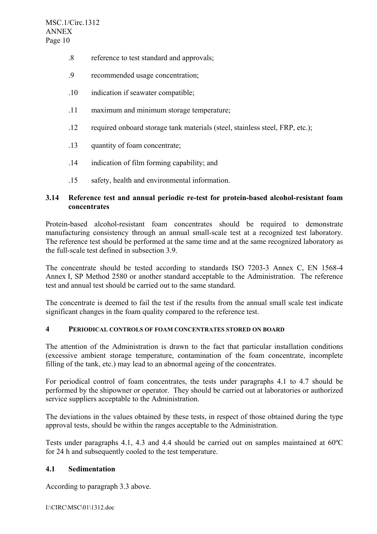- .8 reference to test standard and approvals;
- .9 recommended usage concentration;
- .10 indication if seawater compatible;
- .11 maximum and minimum storage temperature;
- .12 required onboard storage tank materials (steel, stainless steel, FRP, etc.);
- .13 quantity of foam concentrate;
- .14 indication of film forming capability; and
- .15 safety, health and environmental information.

### **3.14 Reference test and annual periodic re-test for protein-based alcohol-resistant foam concentrates**

Protein-based alcohol-resistant foam concentrates should be required to demonstrate manufacturing consistency through an annual small-scale test at a recognized test laboratory. The reference test should be performed at the same time and at the same recognized laboratory as the full-scale test defined in subsection 3.9.

The concentrate should be tested according to standards ISO 7203-3 Annex C, EN 1568-4 Annex I, SP Method 2580 or another standard acceptable to the Administration. The reference test and annual test should be carried out to the same standard.

The concentrate is deemed to fail the test if the results from the annual small scale test indicate significant changes in the foam quality compared to the reference test.

### **4 PERIODICAL CONTROLS OF FOAM CONCENTRATES STORED ON BOARD**

The attention of the Administration is drawn to the fact that particular installation conditions (excessive ambient storage temperature, contamination of the foam concentrate, incomplete filling of the tank, etc.) may lead to an abnormal ageing of the concentrates.

For periodical control of foam concentrates, the tests under paragraphs 4.1 to 4.7 should be performed by the shipowner or operator. They should be carried out at laboratories or authorized service suppliers acceptable to the Administration.

The deviations in the values obtained by these tests, in respect of those obtained during the type approval tests, should be within the ranges acceptable to the Administration.

Tests under paragraphs 4.1, 4.3 and 4.4 should be carried out on samples maintained at 60ºC for 24 h and subsequently cooled to the test temperature.

### **4.1 Sedimentation**

According to paragraph 3.3 above.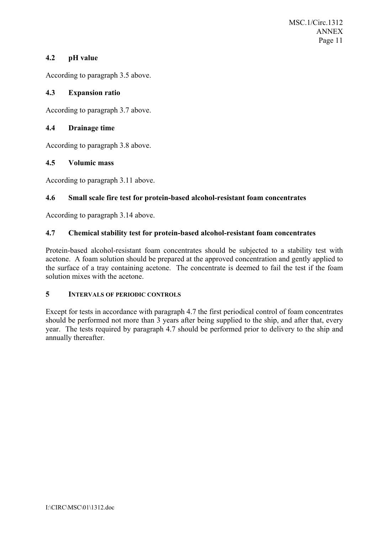## **4.2 pH value**

According to paragraph 3.5 above.

## **4.3 Expansion ratio**

According to paragraph 3.7 above.

## **4.4 Drainage time**

According to paragraph 3.8 above.

## **4.5 Volumic mass**

According to paragraph 3.11 above.

# **4.6 Small scale fire test for protein-based alcohol-resistant foam concentrates**

According to paragraph 3.14 above.

# **4.7 Chemical stability test for protein-based alcohol-resistant foam concentrates**

Protein-based alcohol-resistant foam concentrates should be subjected to a stability test with acetone. A foam solution should be prepared at the approved concentration and gently applied to the surface of a tray containing acetone. The concentrate is deemed to fail the test if the foam solution mixes with the acetone.

## **5 INTERVALS OF PERIODIC CONTROLS**

Except for tests in accordance with paragraph 4.7 the first periodical control of foam concentrates should be performed not more than 3 years after being supplied to the ship, and after that, every year. The tests required by paragraph 4.7 should be performed prior to delivery to the ship and annually thereafter.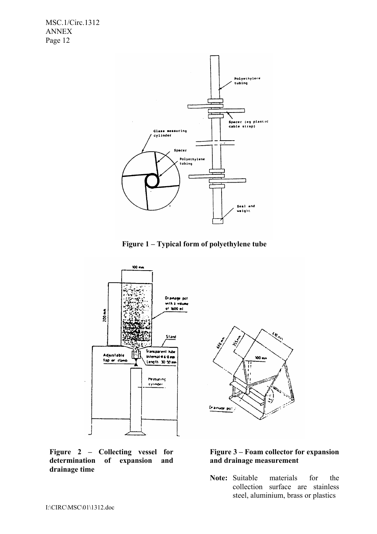

**Figure 1 – Typical form of polyethylene tube** 



**Figure 2 – Collecting vessel for determination of expansion and drainage time** 



## **Figure 3 – Foam collector for expansion and drainage measurement**

**Note:** Suitable materials for the collection surface are stainless steel, aluminium, brass or plastics